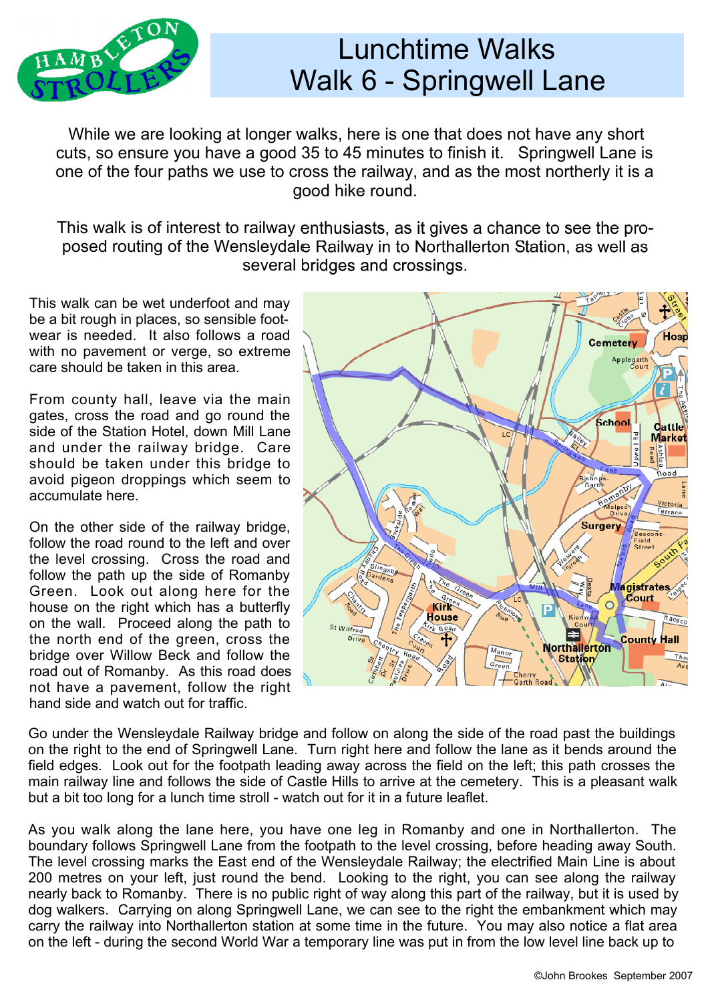

## Lunchtime Walks Walk 6 - Springwell Lane

 While we are looking at longer walks, here is one that does not have any short cuts, so ensure you have a good 35 to 45 minutes to finish it. Springwell Lane is one of the four paths we use to cross the railway, and as the most northerly it is a good hike round.

This walk is of interest to railway enthusiasts, as it gives a chance to see the pro posed routing of the Wensleydale Railway in to Northallerton Station, as well as several bridges and crossings.

This walk can be wet underfoot and may be a bit rough in places, so sensible footwear is needed. It also follows a road with no pavement or verge, so extreme care should be taken in this area.

From county hall, leave via the main gates, cross the road and go round the side of the Station Hotel, down Mill Lane and under the railway bridge. Care should be taken under this bridge to avoid pigeon droppings which seem to accumulate here.

On the other side of the railway bridge, follow the road round to the left and over the level crossing. Cross the road and follow the path up the side of Romanby Green. Look out along here for the house on the right which has a butterfly on the wall. Proceed along the path to the north end of the green, cross the bridge over Willow Beck and follow the road out of Romanby. As this road does not have a pavement, follow the right hand side and watch out for traffic.



Go under the Wensleydale Railway bridge and follow on along the side of the road past the buildings on the right to the end of Springwell Lane. Turn right here and follow the lane as it bends around the field edges. Look out for the footpath leading away across the field on the left; this path crosses the main railway line and follows the side of Castle Hills to arrive at the cemetery. This is a pleasant walk but a bit too long for a lunch time stroll - watch out for it in a future leaflet.

As you walk along the lane here, you have one leg in Romanby and one in Northallerton. The boundary follows Springwell Lane from the footpath to the level crossing, before heading away South. The level crossing marks the East end of the Wensleydale Railway; the electrified Main Line is about 200 metres on your left, just round the bend. Looking to the right, you can see along the railway nearly back to Romanby. There is no public right of way along this part of the railway, but it is used by dog walkers. Carrying on along Springwell Lane, we can see to the right the embankment which may carry the railway into Northallerton station at some time in the future. You may also notice a flat area on the left - during the second World War a temporary line was put in from the low level line back up to